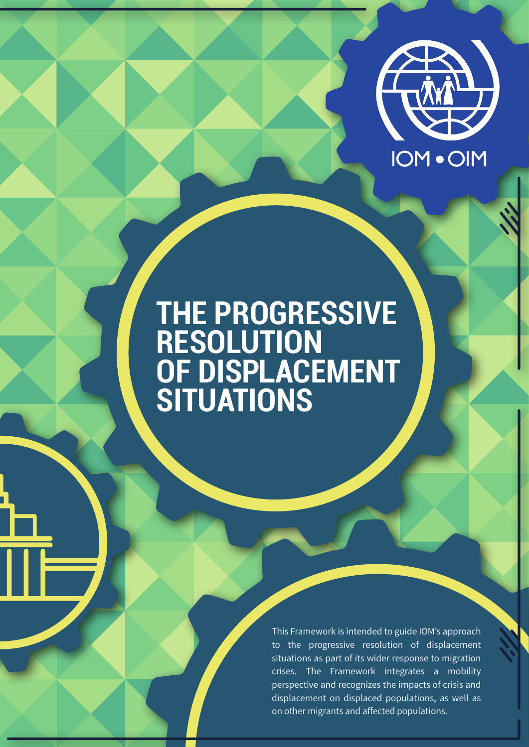

# **THE PROGRESSIVE RESOLUTION OF DISPLACEMENT SITUATIONS**

This Framework is intended to guide IOM's approach to the progressive resolution of displacement situations as part of its wider response to migration crises. The Framework integrates a mobility perspective and recognizes the impacts of crisis and displacement on displaced populations, as well as on other migrants and affected populations.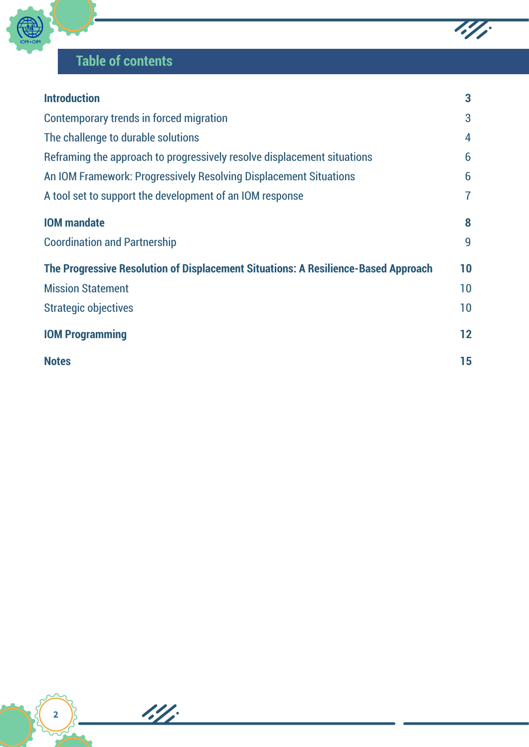

## **Table of contents**

| <b>Introduction</b>                                                                | 3       |
|------------------------------------------------------------------------------------|---------|
| <b>Contemporary trends in forced migration</b>                                     | 3       |
| The challenge to durable solutions                                                 | 4       |
| Reframing the approach to progressively resolve displacement situations            | 6       |
| An IOM Framework: Progressively Resolving Displacement Situations                  | 6       |
| A tool set to support the development of an IOM response                           | 7       |
| <b>IOM</b> mandate                                                                 | 8       |
| <b>Coordination and Partnership</b>                                                | 9       |
| The Progressive Resolution of Displacement Situations: A Resilience-Based Approach | 10      |
| <b>Mission Statement</b>                                                           | 10      |
| <b>Strategic objectives</b>                                                        | 10      |
| <b>IOM Programming</b>                                                             | $12 \,$ |
| <b>Notes</b>                                                                       | 15      |

 $\overline{\mathscr{L}\mathscr{L}}$ 

13/1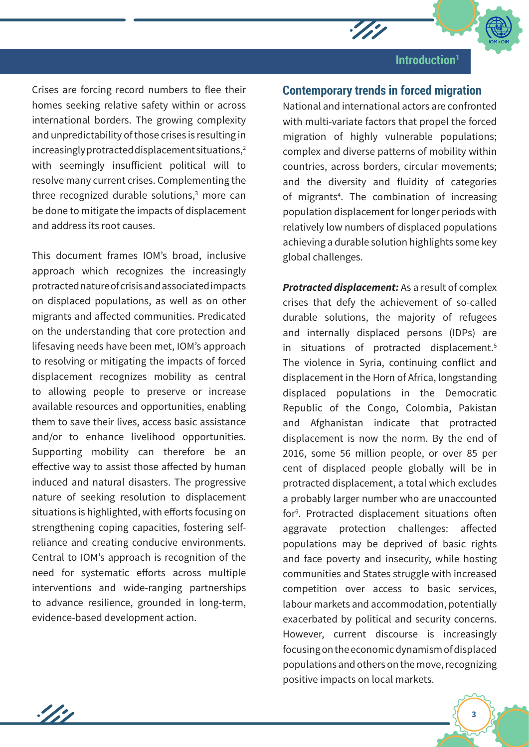

Crises are forcing record numbers to flee their homes seeking relative safety within or across international borders. The growing complexity and unpredictability of those crises is resulting in increasingly protracted displacement situations, $2$ with seemingly insufficient political will to resolve many current crises. Complementing the three recognized durable solutions, $3$  more can be done to mitigate the impacts of displacement and address its root causes.

This document frames IOM's broad, inclusive approach which recognizes the increasingly protracted nature of crisis and associated impacts on displaced populations, as well as on other migrants and affected communities. Predicated on the understanding that core protection and lifesaving needs have been met, IOM's approach to resolving or mitigating the impacts of forced displacement recognizes mobility as central to allowing people to preserve or increase available resources and opportunities, enabling them to save their lives, access basic assistance and/or to enhance livelihood opportunities. Supporting mobility can therefore be an effective way to assist those affected by human induced and natural disasters. The progressive nature of seeking resolution to displacement situations is highlighted, with efforts focusing on strengthening coping capacities, fostering selfreliance and creating conducive environments. Central to IOM's approach is recognition of the need for systematic efforts across multiple interventions and wide-ranging partnerships to advance resilience, grounded in long-term, evidence-based development action.

1/11

## **Contemporary trends in forced migration**

 $\mathscr{L}$ 

National and international actors are confronted with multi-variate factors that propel the forced migration of highly vulnerable populations; complex and diverse patterns of mobility within countries, across borders, circular movements; and the diversity and fluidity of categories of migrants<sup>4</sup>. The combination of increasing population displacement for longer periods with relatively low numbers of displaced populations achieving a durable solution highlights some key global challenges.

*Protracted displacement:* As a result of complex crises that defy the achievement of so-called durable solutions, the majority of refugees and internally displaced persons (IDPs) are in situations of protracted displacement.<sup>5</sup> The violence in Syria, continuing conflict and displacement in the Horn of Africa, longstanding displaced populations in the Democratic Republic of the Congo, Colombia, Pakistan and Afghanistan indicate that protracted displacement is now the norm. By the end of 2016, some 56 million people, or over 85 per cent of displaced people globally will be in protracted displacement, a total which excludes a probably larger number who are unaccounted for6 . Protracted displacement situations often aggravate protection challenges: affected populations may be deprived of basic rights and face poverty and insecurity, while hosting communities and States struggle with increased competition over access to basic services, labour markets and accommodation, potentially exacerbated by political and security concerns. However, current discourse is increasingly focusing on the economic dynamism of displaced populations and others on the move, recognizing positive impacts on local markets.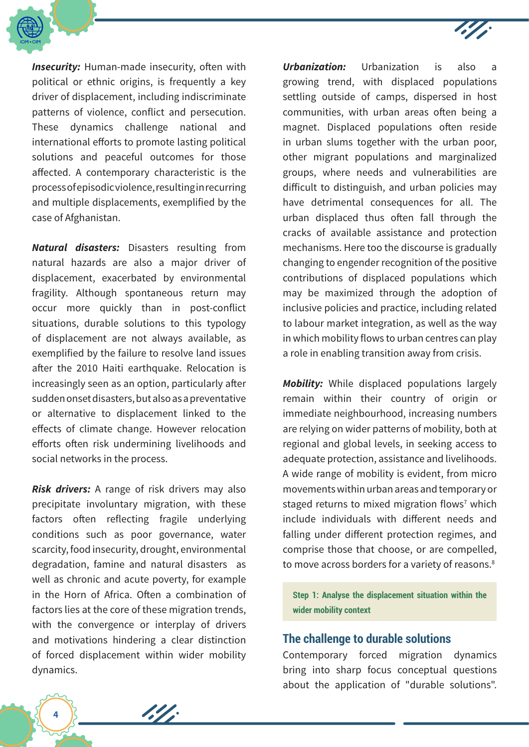

*Insecurity:* Human-made insecurity, often with political or ethnic origins, is frequently a key driver of displacement, including indiscriminate patterns of violence, conflict and persecution. These dynamics challenge national and international efforts to promote lasting political solutions and peaceful outcomes for those affected. A contemporary characteristic is the process of episodic violence, resulting in recurring and multiple displacements, exemplified by the case of Afghanistan.

*Natural disasters:* Disasters resulting from natural hazards are also a major driver of displacement, exacerbated by environmental fragility. Although spontaneous return may occur more quickly than in post-conflict situations, durable solutions to this typology of displacement are not always available, as exemplified by the failure to resolve land issues after the 2010 Haiti earthquake. Relocation is increasingly seen as an option, particularly after sudden onset disasters, but also as a preventative or alternative to displacement linked to the effects of climate change. However relocation efforts often risk undermining livelihoods and social networks in the process.

*Risk drivers:* A range of risk drivers may also precipitate involuntary migration, with these factors often reflecting fragile underlying conditions such as poor governance, water scarcity, food insecurity, drought, environmental degradation, famine and natural disasters as well as chronic and acute poverty, for example in the Horn of Africa. Often a combination of factors lies at the core of these migration trends, with the convergence or interplay of drivers and motivations hindering a clear distinction of forced displacement within wider mobility dynamics.

1.4

*Urbanization:* Urbanization is also a growing trend, with displaced populations settling outside of camps, dispersed in host communities, with urban areas often being a magnet. Displaced populations often reside in urban slums together with the urban poor, other migrant populations and marginalized groups, where needs and vulnerabilities are difficult to distinguish, and urban policies may have detrimental consequences for all. The urban displaced thus often fall through the cracks of available assistance and protection mechanisms. Here too the discourse is gradually changing to engender recognition of the positive contributions of displaced populations which may be maximized through the adoption of inclusive policies and practice, including related to labour market integration, as well as the way in which mobility flows to urban centres can play a role in enabling transition away from crisis.

*Mobility:* While displaced populations largely remain within their country of origin or immediate neighbourhood, increasing numbers are relying on wider patterns of mobility, both at regional and global levels, in seeking access to adequate protection, assistance and livelihoods. A wide range of mobility is evident, from micro movements within urban areas and temporary or staged returns to mixed migration flows<sup>7</sup> which include individuals with different needs and falling under different protection regimes, and comprise those that choose, or are compelled, to move across borders for a variety of reasons.<sup>8</sup>

**Step 1: Analyse the displacement situation within the wider mobility context**

## **The challenge to durable solutions**

Contemporary forced migration dynamics bring into sharp focus conceptual questions about the application of "durable solutions".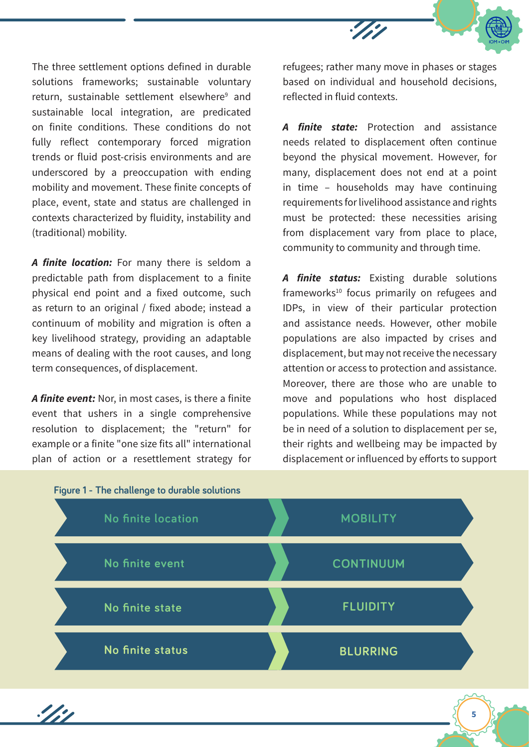

The three settlement options defined in durable solutions frameworks; sustainable voluntary return, sustainable settlement elsewhere<sup>9</sup> and sustainable local integration, are predicated on finite conditions. These conditions do not fully reflect contemporary forced migration trends or fluid post-crisis environments and are underscored by a preoccupation with ending mobility and movement. These finite concepts of place, event, state and status are challenged in contexts characterized by fluidity, instability and (traditional) mobility.

*A finite location:* For many there is seldom a predictable path from displacement to a finite physical end point and a fixed outcome, such as return to an original / fixed abode; instead a continuum of mobility and migration is often a key livelihood strategy, providing an adaptable means of dealing with the root causes, and long term consequences, of displacement.

*A finite event:* Nor, in most cases, is there a finite event that ushers in a single comprehensive resolution to displacement; the "return" for example or a finite "one size fits all" international plan of action or a resettlement strategy for

refugees; rather many move in phases or stages based on individual and household decisions, reflected in fluid contexts.

*A finite state:* Protection and assistance needs related to displacement often continue beyond the physical movement. However, for many, displacement does not end at a point in time – households may have continuing requirements for livelihood assistance and rights must be protected: these necessities arising from displacement vary from place to place, community to community and through time.

*A finite status:* Existing durable solutions frameworks<sup>10</sup> focus primarily on refugees and IDPs, in view of their particular protection and assistance needs. However, other mobile populations are also impacted by crises and displacement, but may not receive the necessary attention or access to protection and assistance. Moreover, there are those who are unable to move and populations who host displaced populations. While these populations may not be in need of a solution to displacement per se, their rights and wellbeing may be impacted by displacement or influenced by efforts to support



1/11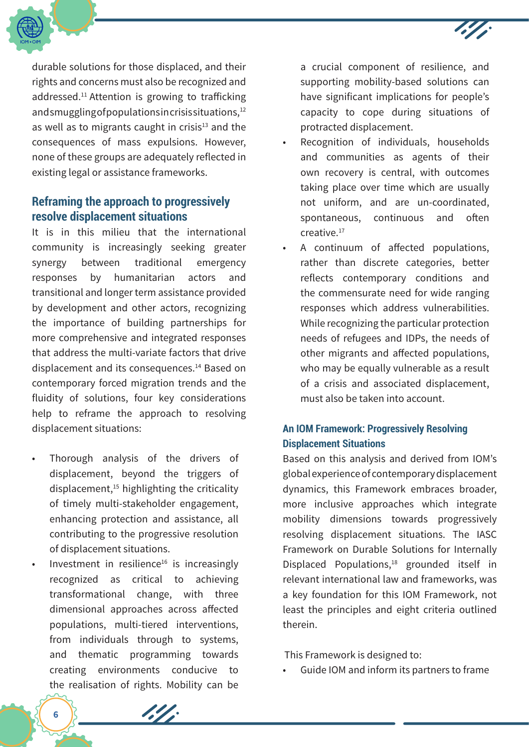



durable solutions for those displaced, and their rights and concerns must also be recognized and addressed.<sup>11</sup> Attention is growing to trafficking and smuggling of populations in crisis situations,<sup>12</sup> as well as to migrants caught in crisis $13$  and the consequences of mass expulsions. However, none of these groups are adequately reflected in existing legal or assistance frameworks.

## **Reframing the approach to progressively resolve displacement situations**

It is in this milieu that the international community is increasingly seeking greater synergy between traditional emergency responses by humanitarian actors and transitional and longer term assistance provided by development and other actors, recognizing the importance of building partnerships for more comprehensive and integrated responses that address the multi-variate factors that drive displacement and its consequences.14 Based on contemporary forced migration trends and the fluidity of solutions, four key considerations help to reframe the approach to resolving displacement situations:

- Thorough analysis of the drivers of displacement, beyond the triggers of displacement, $15$  highlighting the criticality of timely multi-stakeholder engagement, enhancing protection and assistance, all contributing to the progressive resolution of displacement situations.
- Investment in resilience $16$  is increasingly recognized as critical to achieving transformational change, with three dimensional approaches across affected populations, multi-tiered interventions, from individuals through to systems, and thematic programming towards creating environments conducive to the realisation of rights. Mobility can be

197

a crucial component of resilience, and supporting mobility-based solutions can have significant implications for people's capacity to cope during situations of protracted displacement.

- Recognition of individuals, households and communities as agents of their own recovery is central, with outcomes taking place over time which are usually not uniform, and are un-coordinated, spontaneous, continuous and often creative.17
- A continuum of affected populations, rather than discrete categories, better reflects contemporary conditions and the commensurate need for wide ranging responses which address vulnerabilities. While recognizing the particular protection needs of refugees and IDPs, the needs of other migrants and affected populations, who may be equally vulnerable as a result of a crisis and associated displacement, must also be taken into account.

## **An IOM Framework: Progressively Resolving Displacement Situations**

Based on this analysis and derived from IOM's global experience of contemporary displacement dynamics, this Framework embraces broader, more inclusive approaches which integrate mobility dimensions towards progressively resolving displacement situations. The IASC Framework on Durable Solutions for Internally Displaced Populations,<sup>18</sup> grounded itself in relevant international law and frameworks, was a key foundation for this IOM Framework, not least the principles and eight criteria outlined therein.

This Framework is designed to:

• Guide IOM and inform its partners to frame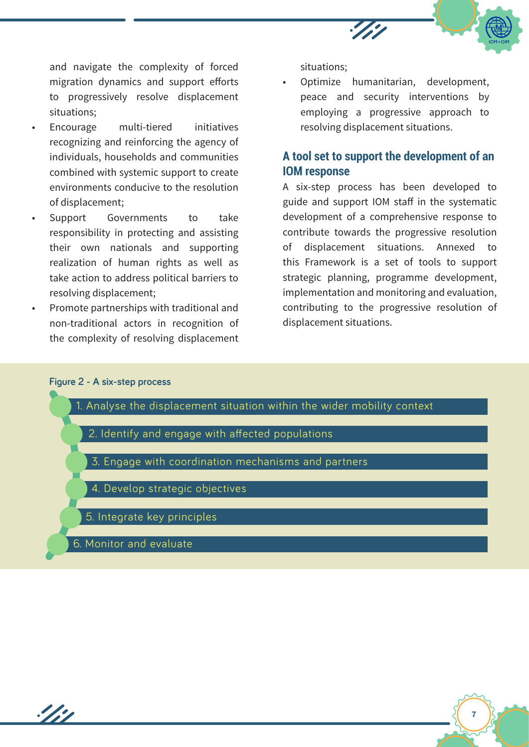

**7**

and navigate the complexity of forced migration dynamics and support efforts to progressively resolve displacement situations;

- Encourage multi-tiered initiatives recognizing and reinforcing the agency of individuals, households and communities combined with systemic support to create environments conducive to the resolution of displacement;
- Support Governments to take responsibility in protecting and assisting their own nationals and supporting realization of human rights as well as take action to address political barriers to resolving displacement;
- Promote partnerships with traditional and non-traditional actors in recognition of the complexity of resolving displacement

situations;

• Optimize humanitarian, development, peace and security interventions by employing a progressive approach to resolving displacement situations.

## **A tool set to support the development of an IOM response**

A six-step process has been developed to guide and support IOM staff in the systematic development of a comprehensive response to contribute towards the progressive resolution of displacement situations. Annexed to this Framework is a set of tools to support strategic planning, programme development, implementation and monitoring and evaluation, contributing to the progressive resolution of displacement situations.

#### **Figure 2 - A six-step process**

 $\frac{1}{2}$ 

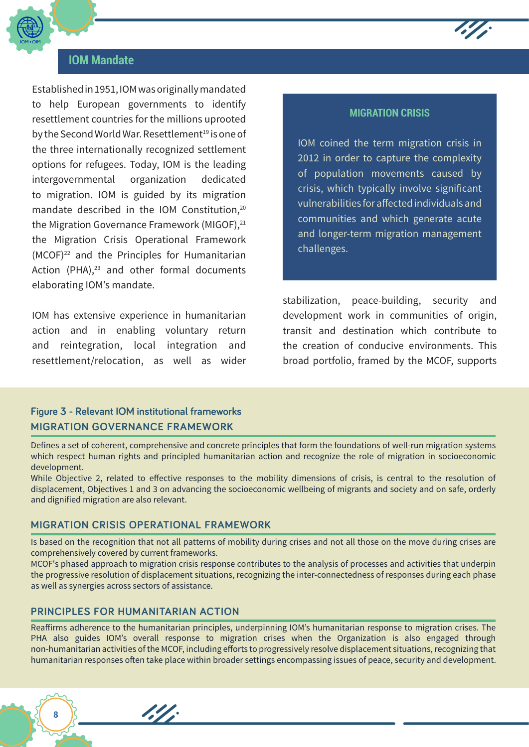

## **IOM Mandate**

Established in 1951, IOM was originally mandated to help European governments to identify resettlement countries for the millions uprooted by the Second World War. Resettlement<sup>19</sup> is one of the three internationally recognized settlement options for refugees. Today, IOM is the leading intergovernmental organization dedicated to migration. IOM is guided by its migration mandate described in the IOM Constitution,<sup>20</sup> the Migration Governance Framework (MIGOF),<sup>21</sup> the Migration Crisis Operational Framework (MCOF)22 and the Principles for Humanitarian Action (PHA), $^{23}$  and other formal documents elaborating IOM's mandate.

IOM has extensive experience in humanitarian action and in enabling voluntary return and reintegration, local integration and resettlement/relocation, as well as wider

## **MIGRATION CRISIS**

 $\sim$ 

IOM coined the term migration crisis in 2012 in order to capture the complexity of population movements caused by crisis, which typically involve significant vulnerabilities for affected individuals and communities and which generate acute and longer-term migration management challenges.

stabilization, peace-building, security and development work in communities of origin, transit and destination which contribute to the creation of conducive environments. This broad portfolio, framed by the MCOF, supports

## **Figure 3 - Relevant IOM institutional frameworks MIGRATION GOVERNANCE FRAMEWORK**

Defines a set of coherent, comprehensive and concrete principles that form the foundations of well-run migration systems which respect human rights and principled humanitarian action and recognize the role of migration in socioeconomic development.

While Objective 2, related to effective responses to the mobility dimensions of crisis, is central to the resolution of displacement, Objectives 1 and 3 on advancing the socioeconomic wellbeing of migrants and society and on safe, orderly and dignified migration are also relevant.

## **MIGRATION CRISIS OPERATIONAL FRAMEWORK**

Is based on the recognition that not all patterns of mobility during crises and not all those on the move during crises are comprehensively covered by current frameworks.

MCOF's phased approach to migration crisis response contributes to the analysis of processes and activities that underpin the progressive resolution of displacement situations, recognizing the inter-connectedness of responses during each phase as well as synergies across sectors of assistance.

## **PRINCIPLES FOR HUMANITARIAN ACTION**

1.4.

Reaffirms adherence to the humanitarian principles, underpinning IOM's humanitarian response to migration crises. The PHA also guides IOM's overall response to migration crises when the Organization is also engaged through non-humanitarian activities of the MCOF, including efforts to progressively resolve displacement situations, recognizing that humanitarian responses often take place within broader settings encompassing issues of peace, security and development.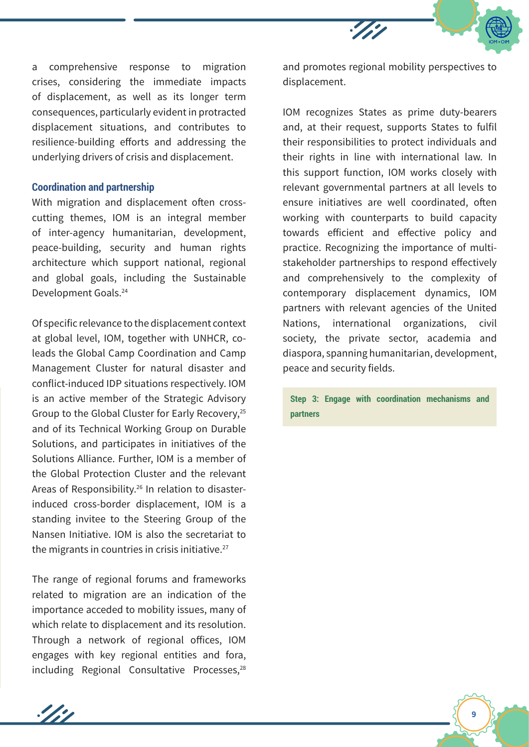

a comprehensive response to migration crises, considering the immediate impacts of displacement, as well as its longer term consequences, particularly evident in protracted displacement situations, and contributes to resilience-building efforts and addressing the underlying drivers of crisis and displacement.

#### **Coordination and partnership**

With migration and displacement often crosscutting themes, IOM is an integral member of inter-agency humanitarian, development, peace-building, security and human rights architecture which support national, regional and global goals, including the Sustainable Development Goals.24

Of specific relevance to the displacement context at global level, IOM, together with UNHCR, coleads the Global Camp Coordination and Camp Management Cluster for natural disaster and conflict-induced IDP situations respectively. IOM is an active member of the Strategic Advisory Group to the Global Cluster for Early Recovery,25 and of its Technical Working Group on Durable Solutions, and participates in initiatives of the Solutions Alliance. Further, IOM is a member of the Global Protection Cluster and the relevant Areas of Responsibility.26 In relation to disasterinduced cross-border displacement, IOM is a standing invitee to the Steering Group of the Nansen Initiative. IOM is also the secretariat to the migrants in countries in crisis initiative. $27$ 

The range of regional forums and frameworks related to migration are an indication of the importance acceded to mobility issues, many of which relate to displacement and its resolution. Through a network of regional offices, IOM engages with key regional entities and fora, including Regional Consultative Processes,<sup>28</sup>

1/11

and promotes regional mobility perspectives to displacement.

IOM recognizes States as prime duty-bearers and, at their request, supports States to fulfil their responsibilities to protect individuals and their rights in line with international law. In this support function, IOM works closely with relevant governmental partners at all levels to ensure initiatives are well coordinated, often working with counterparts to build capacity towards efficient and effective policy and practice. Recognizing the importance of multistakeholder partnerships to respond effectively and comprehensively to the complexity of contemporary displacement dynamics, IOM partners with relevant agencies of the United Nations, international organizations, civil society, the private sector, academia and diaspora, spanning humanitarian, development, peace and security fields.

**Step 3: Engage with coordination mechanisms and partners**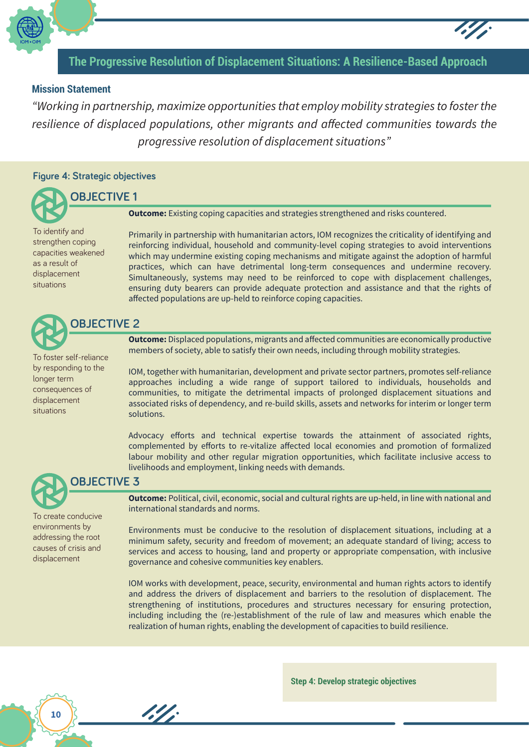

## **The Progressive Resolution of Displacement Situations: A Resilience-Based Approach**

## **Mission Statement**

*"Working in partnership, maximize opportunities that employ mobility strategies to foster the resilience of displaced populations, other migrants and affected communities towards the progressive resolution of displacement situations"*

#### **Figure 4: Strategic objectives**

## **OBJECTIVE 1**

To identify and strengthen coping capacities weakened as a result of displacement situations

**Outcome:** Existing coping capacities and strategies strengthened and risks countered.

Primarily in partnership with humanitarian actors, IOM recognizes the criticality of identifying and reinforcing individual, household and community-level coping strategies to avoid interventions which may undermine existing coping mechanisms and mitigate against the adoption of harmful practices, which can have detrimental long-term consequences and undermine recovery. Simultaneously, systems may need to be reinforced to cope with displacement challenges, ensuring duty bearers can provide adequate protection and assistance and that the rights of affected populations are up-held to reinforce coping capacities.

## **OBJECTIVE 2**

To foster self-reliance by responding to the longer term consequences of displacement situations

**Outcome:** Displaced populations, migrants and affected communities are economically productive members of society, able to satisfy their own needs, including through mobility strategies.

IOM, together with humanitarian, development and private sector partners, promotes self-reliance approaches including a wide range of support tailored to individuals, households and communities, to mitigate the detrimental impacts of prolonged displacement situations and associated risks of dependency, and re-build skills, assets and networks for interim or longer term solutions.

Advocacy efforts and technical expertise towards the attainment of associated rights, complemented by efforts to re-vitalize affected local economies and promotion of formalized labour mobility and other regular migration opportunities, which facilitate inclusive access to livelihoods and employment, linking needs with demands.



## **OBJECTIVE 3**

1.4

To create conducive environments by addressing the root causes of crisis and displacement

**Outcome:** Political, civil, economic, social and cultural rights are up-held, in line with national and international standards and norms.

Environments must be conducive to the resolution of displacement situations, including at a minimum safety, security and freedom of movement; an adequate standard of living; access to services and access to housing, land and property or appropriate compensation, with inclusive governance and cohesive communities key enablers.

IOM works with development, peace, security, environmental and human rights actors to identify and address the drivers of displacement and barriers to the resolution of displacement. The strengthening of institutions, procedures and structures necessary for ensuring protection, including including the (re-)establishment of the rule of law and measures which enable the realization of human rights, enabling the development of capacities to build resilience.

**Step 4: Develop strategic objectives**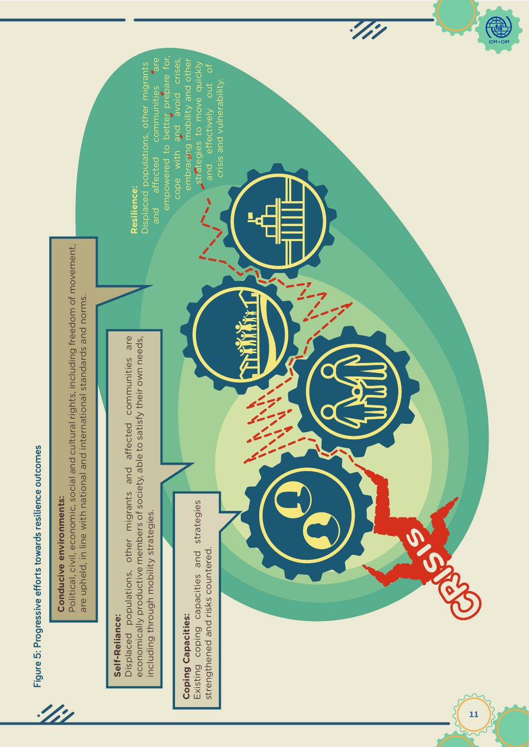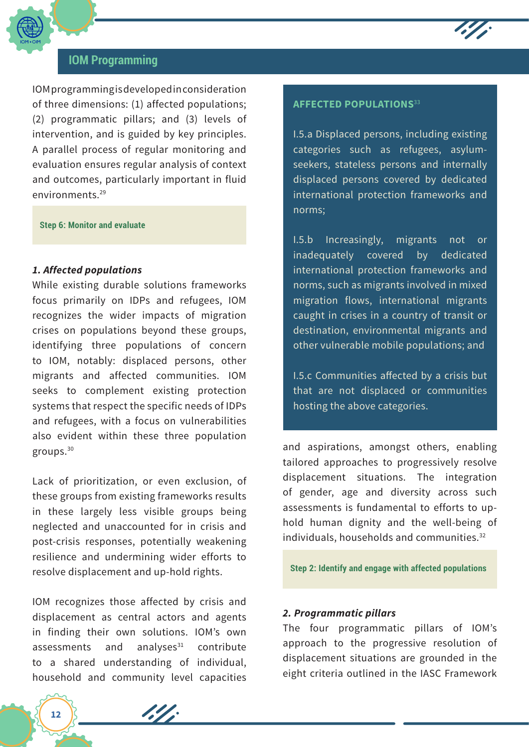

## **IOM Programming**

IOM programming is developed in consideration of three dimensions: (1) affected populations; (2) programmatic pillars; and (3) levels of intervention, and is guided by key principles. A parallel process of regular monitoring and evaluation ensures regular analysis of context and outcomes, particularly important in fluid environments.29

## **Step 6: Monitor and evaluate**

## *1. Affected populations*

While existing durable solutions frameworks focus primarily on IDPs and refugees, IOM recognizes the wider impacts of migration crises on populations beyond these groups, identifying three populations of concern to IOM, notably: displaced persons, other migrants and affected communities. IOM seeks to complement existing protection systems that respect the specific needs of IDPs and refugees, with a focus on vulnerabilities also evident within these three population groups.30

Lack of prioritization, or even exclusion, of these groups from existing frameworks results in these largely less visible groups being neglected and unaccounted for in crisis and post-crisis responses, potentially weakening resilience and undermining wider efforts to resolve displacement and up-hold rights.

IOM recognizes those affected by crisis and displacement as central actors and agents in finding their own solutions. IOM's own assessments and analyses $31$  contribute to a shared understanding of individual, household and community level capacities

19

#### **AFFECTED POPULATIONS**<sup>33</sup>

I.5.a Displaced persons, including existing categories such as refugees, asylumseekers, stateless persons and internally displaced persons covered by dedicated international protection frameworks and norms;

I.5.b Increasingly, migrants not or inadequately covered by dedicated international protection frameworks and norms, such as migrants involved in mixed migration flows, international migrants caught in crises in a country of transit or destination, environmental migrants and other vulnerable mobile populations; and

I.5.c Communities affected by a crisis but that are not displaced or communities hosting the above categories.

and aspirations, amongst others, enabling tailored approaches to progressively resolve displacement situations. The integration of gender, age and diversity across such assessments is fundamental to efforts to uphold human dignity and the well-being of individuals, households and communities.<sup>32</sup>

**Step 2: Identify and engage with affected populations**

#### *2. Programmatic pillars*

The four programmatic pillars of IOM's approach to the progressive resolution of displacement situations are grounded in the eight criteria outlined in the IASC Framework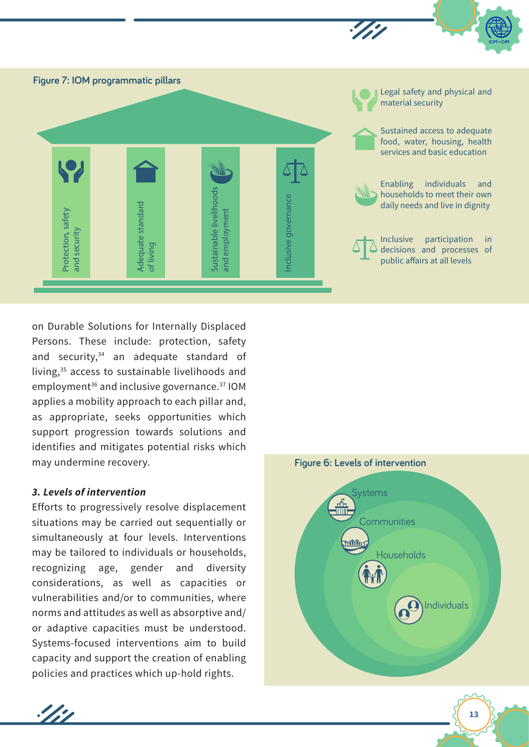

on Durable Solutions for Internally Displaced Persons. These include: protection, safety and security,<sup>34</sup> an adequate standard of living,35 access to sustainable livelihoods and employment<sup>36</sup> and inclusive governance.<sup>37</sup> IOM applies a mobility approach to each pillar and, as appropriate, seeks opportunities which support progression towards solutions and identifies and mitigates potential risks which may undermine recovery.

## *3. Levels of intervention*

 $\mathscr{L}^{\bullet}$ 

Efforts to progressively resolve displacement situations may be carried out sequentially or simultaneously at four levels. Interventions may be tailored to individuals or households, recognizing age, gender and diversity considerations, as well as capacities or vulnerabilities and/or to communities, where norms and attitudes as well as absorptive and/ or adaptive capacities must be understood. Systems-focused interventions aim to build capacity and support the creation of enabling policies and practices which up-hold rights.

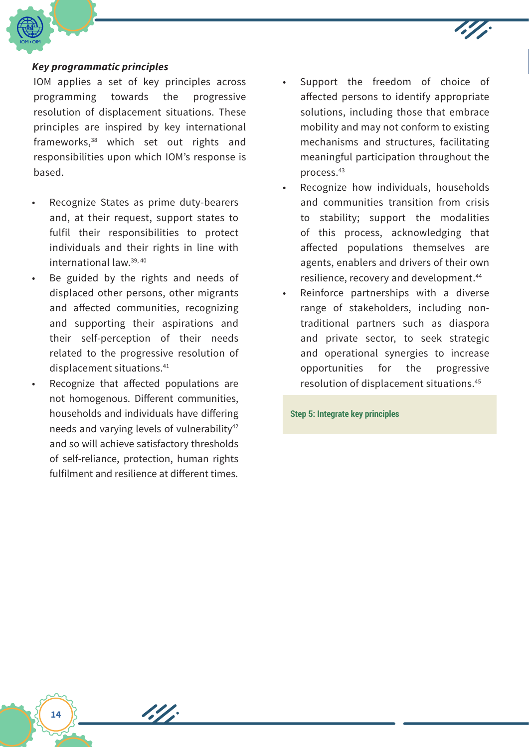

## *Key programmatic principles*

IOM applies a set of key principles across programming towards the progressive resolution of displacement situations. These principles are inspired by key international frameworks,38 which set out rights and responsibilities upon which IOM's response is based.

- Recognize States as prime duty-bearers and, at their request, support states to fulfil their responsibilities to protect individuals and their rights in line with international law.39, 40
- Be guided by the rights and needs of displaced other persons, other migrants and affected communities, recognizing and supporting their aspirations and their self-perception of their needs related to the progressive resolution of displacement situations.<sup>41</sup>
- Recognize that affected populations are not homogenous. Different communities, households and individuals have differing needs and varying levels of vulnerability<sup>42</sup> and so will achieve satisfactory thresholds of self-reliance, protection, human rights fulfilment and resilience at different times.

1.4

- Support the freedom of choice of affected persons to identify appropriate solutions, including those that embrace mobility and may not conform to existing mechanisms and structures, facilitating meaningful participation throughout the process.43
- Recognize how individuals, households and communities transition from crisis to stability; support the modalities of this process, acknowledging that affected populations themselves are agents, enablers and drivers of their own resilience, recovery and development.44
- Reinforce partnerships with a diverse range of stakeholders, including nontraditional partners such as diaspora and private sector, to seek strategic and operational synergies to increase opportunities for the progressive resolution of displacement situations.45

**Step 5: Integrate key principles**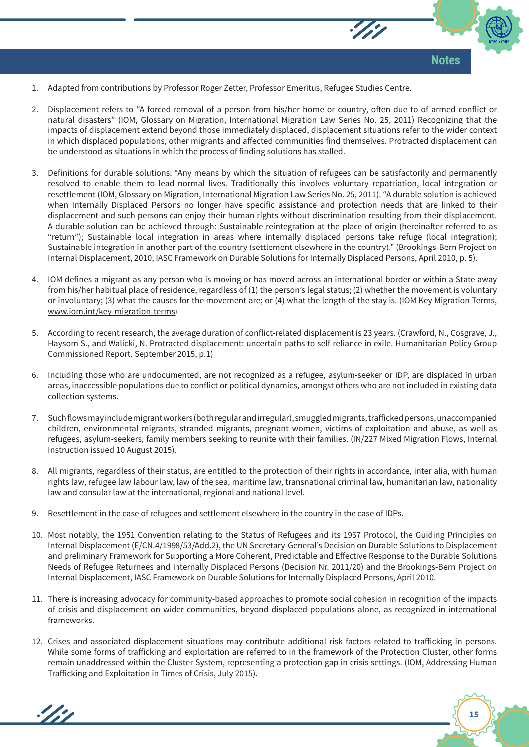

- 1. Adapted from contributions by Professor Roger Zetter, Professor Emeritus, Refugee Studies Centre.
- 2. Displacement refers to "A forced removal of a person from his/her home or country, often due to of armed conflict or natural disasters" (IOM, Glossary on Migration, International Migration Law Series No. 25, 2011) Recognizing that the impacts of displacement extend beyond those immediately displaced, displacement situations refer to the wider context in which displaced populations, other migrants and affected communities find themselves. Protracted displacement can be understood as situations in which the process of finding solutions has stalled.
- 3. Definitions for durable solutions: "Any means by which the situation of refugees can be satisfactorily and permanently resolved to enable them to lead normal lives. Traditionally this involves voluntary repatriation, local integration or resettlement (IOM, Glossary on Migration, International Migration Law Series No. 25, 2011). "A durable solution is achieved when Internally Displaced Persons no longer have specific assistance and protection needs that are linked to their displacement and such persons can enjoy their human rights without discrimination resulting from their displacement. A durable solution can be achieved through: Sustainable reintegration at the place of origin (hereinafter referred to as "return"); Sustainable local integration in areas where internally displaced persons take refuge (local integration); Sustainable integration in another part of the country (settlement elsewhere in the country)." (Brookings-Bern Project on Internal Displacement, 2010, IASC Framework on Durable Solutions for Internally Displaced Persons, April 2010, p. 5).
- 4. IOM defines a migrant as any person who is moving or has moved across an international border or within a State away from his/her habitual place of residence, regardless of (1) the person's legal status; (2) whether the movement is voluntary or involuntary; (3) what the causes for the movement are; or (4) what the length of the stay is. (IOM Key Migration Terms, www.iom.int/key-migration-terms)
- 5. According to recent research, the average duration of conflict-related displacement is 23 years. (Crawford, N., Cosgrave, J., Haysom S., and Walicki, N. Protracted displacement: uncertain paths to self-reliance in exile. Humanitarian Policy Group Commissioned Report. September 2015, p.1)
- 6. Including those who are undocumented, are not recognized as a refugee, asylum-seeker or IDP, are displaced in urban areas, inaccessible populations due to conflict or political dynamics, amongst others who are not included in existing data collection systems.
- 7. Such flows may include migrant workers (both regular and irregular), smuggled migrants, trafficked persons, unaccompanied children, environmental migrants, stranded migrants, pregnant women, victims of exploitation and abuse, as well as refugees, asylum-seekers, family members seeking to reunite with their families. (IN/227 Mixed Migration Flows, Internal Instruction issued 10 August 2015).
- 8. All migrants, regardless of their status, are entitled to the protection of their rights in accordance, inter alia, with human rights law, refugee law labour law, law of the sea, maritime law, transnational criminal law, humanitarian law, nationality law and consular law at the international, regional and national level.
- 9. Resettlement in the case of refugees and settlement elsewhere in the country in the case of IDPs.

 $\mathcal{L}$ 

- 10. Most notably, the 1951 Convention relating to the Status of Refugees and its 1967 Protocol, the Guiding Principles on Internal Displacement (E/CN.4/1998/53/Add.2), the UN Secretary-General's Decision on Durable Solutions to Displacement and preliminary Framework for Supporting a More Coherent, Predictable and Effective Response to the Durable Solutions Needs of Refugee Returnees and Internally Displaced Persons (Decision Nr. 2011/20) and the Brookings-Bern Project on Internal Displacement, IASC Framework on Durable Solutions for Internally Displaced Persons, April 2010.
- 11. There is increasing advocacy for community-based approaches to promote social cohesion in recognition of the impacts of crisis and displacement on wider communities, beyond displaced populations alone, as recognized in international frameworks.
- 12. Crises and associated displacement situations may contribute additional risk factors related to trafficking in persons. While some forms of trafficking and exploitation are referred to in the framework of the Protection Cluster, other forms remain unaddressed within the Cluster System, representing a protection gap in crisis settings. (IOM, Addressing Human Trafficking and Exploitation in Times of Crisis, July 2015).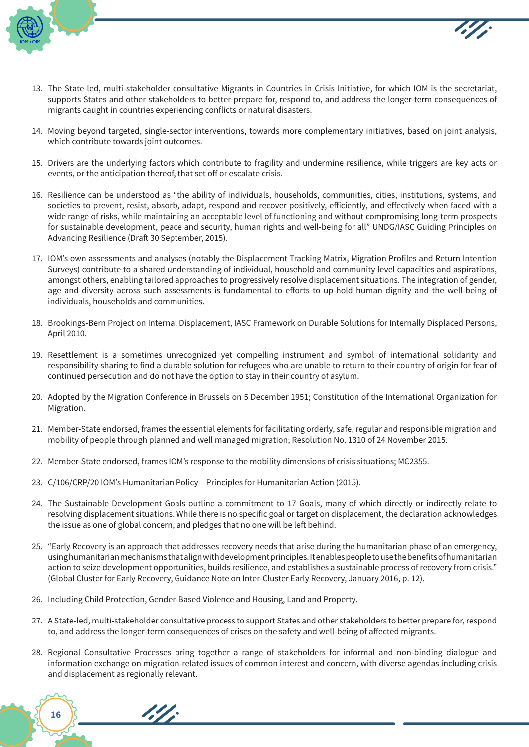

**16**

- 13. The State-led, multi-stakeholder consultative Migrants in Countries in Crisis Initiative, for which IOM is the secretariat, supports States and other stakeholders to better prepare for, respond to, and address the longer-term consequences of migrants caught in countries experiencing conflicts or natural disasters.
- 14. Moving beyond targeted, single-sector interventions, towards more complementary initiatives, based on joint analysis, which contribute towards joint outcomes.
- 15. Drivers are the underlying factors which contribute to fragility and undermine resilience, while triggers are key acts or events, or the anticipation thereof, that set off or escalate crisis.
- 16. Resilience can be understood as "the ability of individuals, households, communities, cities, institutions, systems, and societies to prevent, resist, absorb, adapt, respond and recover positively, efficiently, and effectively when faced with a wide range of risks, while maintaining an acceptable level of functioning and without compromising long-term prospects for sustainable development, peace and security, human rights and well-being for all" UNDG/IASC Guiding Principles on Advancing Resilience (Draft 30 September, 2015).
- 17. IOM's own assessments and analyses (notably the Displacement Tracking Matrix, Migration Profiles and Return Intention Surveys) contribute to a shared understanding of individual, household and community level capacities and aspirations, amongst others, enabling tailored approaches to progressively resolve displacement situations. The integration of gender, age and diversity across such assessments is fundamental to efforts to up-hold human dignity and the well-being of individuals, households and communities.
- 18. Brookings-Bern Project on Internal Displacement, IASC Framework on Durable Solutions for Internally Displaced Persons, April 2010.
- 19. Resettlement is a sometimes unrecognized yet compelling instrument and symbol of international solidarity and responsibility sharing to find a durable solution for refugees who are unable to return to their country of origin for fear of continued persecution and do not have the option to stay in their country of asylum.
- 20. Adopted by the Migration Conference in Brussels on 5 December 1951; Constitution of the International Organization for Migration.
- 21. Member-State endorsed, frames the essential elements for facilitating orderly, safe, regular and responsible migration and mobility of people through planned and well managed migration; Resolution No. 1310 of 24 November 2015.
- 22. Member-State endorsed, frames IOM's response to the mobility dimensions of crisis situations; MC2355.
- 23. C/106/CRP/20 IOM's Humanitarian Policy Principles for Humanitarian Action (2015).
- 24. The Sustainable Development Goals outline a commitment to 17 Goals, many of which directly or indirectly relate to resolving displacement situations. While there is no specific goal or target on displacement, the declaration acknowledges the issue as one of global concern, and pledges that no one will be left behind.
- 25. "Early Recovery is an approach that addresses recovery needs that arise during the humanitarian phase of an emergency, using humanitarian mechanisms that align with development principles. It enables people to use the benefits of humanitarian action to seize development opportunities, builds resilience, and establishes a sustainable process of recovery from crisis." (Global Cluster for Early Recovery, Guidance Note on Inter-Cluster Early Recovery, January 2016, p. 12).
- 26. Including Child Protection, Gender-Based Violence and Housing, Land and Property.

- 27. A State-led, multi-stakeholder consultative process to support States and other stakeholders to better prepare for, respond to, and address the longer-term consequences of crises on the safety and well-being of affected migrants.
- 28. Regional Consultative Processes bring together a range of stakeholders for informal and non-binding dialogue and information exchange on migration-related issues of common interest and concern, with diverse agendas including crisis and displacement as regionally relevant.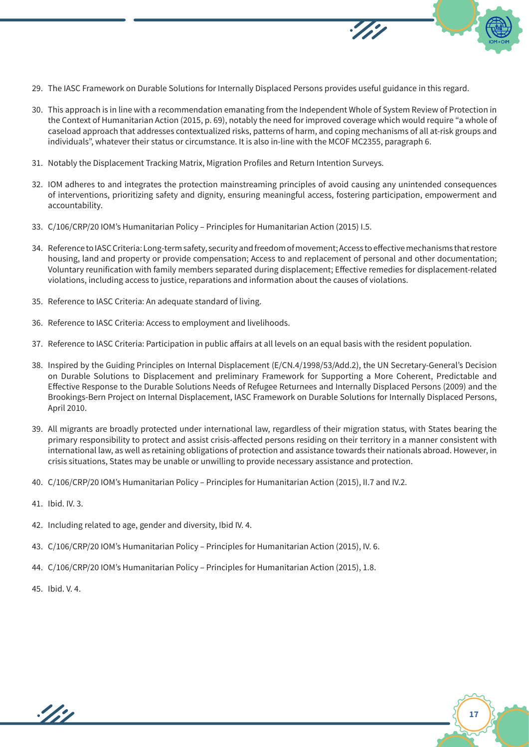- 29. The IASC Framework on Durable Solutions for Internally Displaced Persons provides useful guidance in this regard.
- 30. This approach is in line with a recommendation emanating from the Independent Whole of System Review of Protection in the Context of Humanitarian Action (2015, p. 69), notably the need for improved coverage which would require "a whole of caseload approach that addresses contextualized risks, patterns of harm, and coping mechanisms of all at-risk groups and individuals", whatever their status or circumstance. It is also in-line with the MCOF MC2355, paragraph 6.
- 31. Notably the Displacement Tracking Matrix, Migration Profiles and Return Intention Surveys.
- 32. IOM adheres to and integrates the protection mainstreaming principles of avoid causing any unintended consequences of interventions, prioritizing safety and dignity, ensuring meaningful access, fostering participation, empowerment and accountability.
- 33. C/106/CRP/20 IOM's Humanitarian Policy Principles for Humanitarian Action (2015) I.5.
- 34. Reference to IASC Criteria: Long-term safety, security and freedom of movement; Access to effective mechanisms that restore housing, land and property or provide compensation; Access to and replacement of personal and other documentation; Voluntary reunification with family members separated during displacement; Effective remedies for displacement-related violations, including access to justice, reparations and information about the causes of violations.
- 35. Reference to IASC Criteria: An adequate standard of living.
- 36. Reference to IASC Criteria: Access to employment and livelihoods.
- 37. Reference to IASC Criteria: Participation in public affairs at all levels on an equal basis with the resident population.
- 38. Inspired by the Guiding Principles on Internal Displacement (E/CN.4/1998/53/Add.2), the UN Secretary-General's Decision on Durable Solutions to Displacement and preliminary Framework for Supporting a More Coherent, Predictable and Effective Response to the Durable Solutions Needs of Refugee Returnees and Internally Displaced Persons (2009) and the Brookings-Bern Project on Internal Displacement, IASC Framework on Durable Solutions for Internally Displaced Persons, April 2010.
- 39. All migrants are broadly protected under international law, regardless of their migration status, with States bearing the primary responsibility to protect and assist crisis-affected persons residing on their territory in a manner consistent with international law, as well as retaining obligations of protection and assistance towards their nationals abroad. However, in crisis situations, States may be unable or unwilling to provide necessary assistance and protection.
- 40. C/106/CRP/20 IOM's Humanitarian Policy Principles for Humanitarian Action (2015), II.7 and IV.2.
- 41. Ibid. IV. 3.
- 42. Including related to age, gender and diversity, Ibid IV. 4.
- 43. C/106/CRP/20 IOM's Humanitarian Policy Principles for Humanitarian Action (2015), IV. 6.
- 44. C/106/CRP/20 IOM's Humanitarian Policy Principles for Humanitarian Action (2015), 1.8.
- 45. Ibid. V. 4.

 $\frac{\partial f}{\partial \rho}$